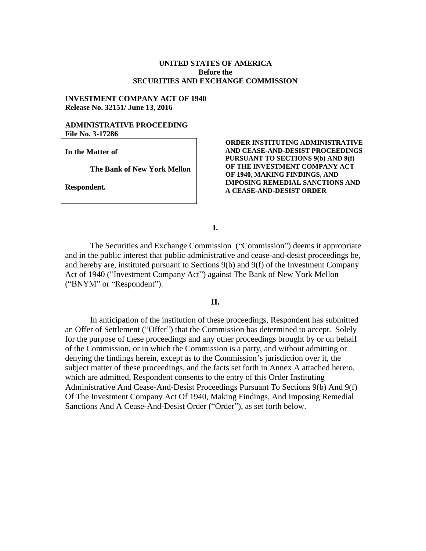### **UNITED STATES OF AMERICA Before the SECURITIES AND EXCHANGE COMMISSION**

### **INVESTMENT COMPANY ACT OF 1940 Release No. 32151/ June 13, 2016**

#### **ADMINISTRATIVE PROCEEDING File No. 3-17286**

**In the Matter of**

**The Bank of New York Mellon**

**Respondent.**

#### **ORDER INSTITUTING ADMINISTRATIVE AND CEASE-AND-DESIST PROCEEDINGS PURSUANT TO SECTIONS 9(b) AND 9(f) OF THE INVESTMENT COMPANY ACT OF 1940, MAKING FINDINGS, AND IMPOSING REMEDIAL SANCTIONS AND A CEASE-AND-DESIST ORDER**

**I.**

The Securities and Exchange Commission ("Commission") deems it appropriate and in the public interest that public administrative and cease-and-desist proceedings be, and hereby are, instituted pursuant to Sections 9(b) and 9(f) of the Investment Company Act of 1940 ("Investment Company Act") against The Bank of New York Mellon ("BNYM" or "Respondent").

### **II.**

In anticipation of the institution of these proceedings, Respondent has submitted an Offer of Settlement ("Offer") that the Commission has determined to accept. Solely for the purpose of these proceedings and any other proceedings brought by or on behalf of the Commission, or in which the Commission is a party, and without admitting or denying the findings herein, except as to the Commission's jurisdiction over it, the subject matter of these proceedings, and the facts set forth in Annex A attached hereto, which are admitted, Respondent consents to the entry of this Order Instituting Administrative And Cease-And-Desist Proceedings Pursuant To Sections 9(b) And 9(f) Of The Investment Company Act Of 1940, Making Findings, And Imposing Remedial Sanctions And A Cease-And-Desist Order ("Order"), as set forth below.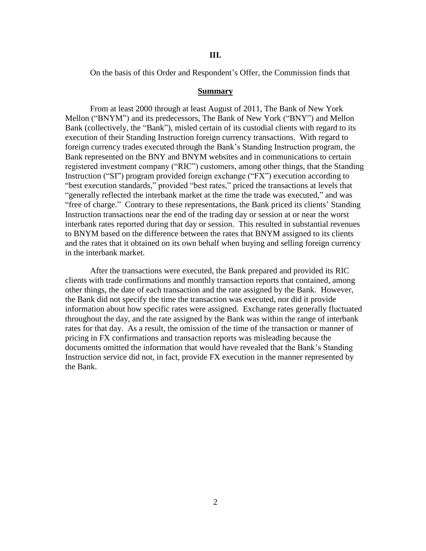#### **III.**

On the basis of this Order and Respondent's Offer, the Commission finds that

#### **Summary**

From at least 2000 through at least August of 2011, The Bank of New York Mellon ("BNYM") and its predecessors, The Bank of New York ("BNY") and Mellon Bank (collectively, the "Bank"), misled certain of its custodial clients with regard to its execution of their Standing Instruction foreign currency transactions. With regard to foreign currency trades executed through the Bank's Standing Instruction program, the Bank represented on the BNY and BNYM websites and in communications to certain registered investment company ("RIC") customers, among other things, that the Standing Instruction ("SI") program provided foreign exchange ("FX") execution according to "best execution standards," provided "best rates," priced the transactions at levels that "generally reflected the interbank market at the time the trade was executed," and was "free of charge." Contrary to these representations, the Bank priced its clients' Standing Instruction transactions near the end of the trading day or session at or near the worst interbank rates reported during that day or session. This resulted in substantial revenues to BNYM based on the difference between the rates that BNYM assigned to its clients and the rates that it obtained on its own behalf when buying and selling foreign currency in the interbank market.

After the transactions were executed, the Bank prepared and provided its RIC clients with trade confirmations and monthly transaction reports that contained, among other things, the date of each transaction and the rate assigned by the Bank. However, the Bank did not specify the time the transaction was executed, nor did it provide information about how specific rates were assigned. Exchange rates generally fluctuated throughout the day, and the rate assigned by the Bank was within the range of interbank rates for that day. As a result, the omission of the time of the transaction or manner of pricing in FX confirmations and transaction reports was misleading because the documents omitted the information that would have revealed that the Bank's Standing Instruction service did not, in fact, provide FX execution in the manner represented by the Bank.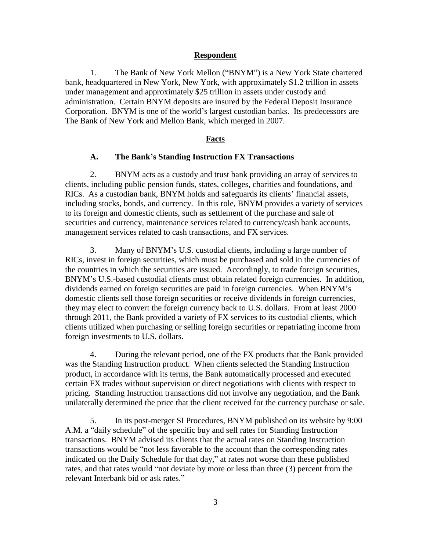### **Respondent**

1. The Bank of New York Mellon ("BNYM") is a New York State chartered bank, headquartered in New York, New York, with approximately \$1.2 trillion in assets under management and approximately \$25 trillion in assets under custody and administration. Certain BNYM deposits are insured by the Federal Deposit Insurance Corporation. BNYM is one of the world's largest custodian banks. Its predecessors are The Bank of New York and Mellon Bank, which merged in 2007.

## **Facts**

#### **A. The Bank's Standing Instruction FX Transactions**

2. BNYM acts as a custody and trust bank providing an array of services to clients, including public pension funds, states, colleges, charities and foundations, and RICs. As a custodian bank, BNYM holds and safeguards its clients' financial assets, including stocks, bonds, and currency. In this role, BNYM provides a variety of services to its foreign and domestic clients, such as settlement of the purchase and sale of securities and currency, maintenance services related to currency/cash bank accounts, management services related to cash transactions, and FX services.

3. Many of BNYM's U.S. custodial clients, including a large number of RICs, invest in foreign securities, which must be purchased and sold in the currencies of the countries in which the securities are issued. Accordingly, to trade foreign securities, BNYM's U.S.-based custodial clients must obtain related foreign currencies. In addition, dividends earned on foreign securities are paid in foreign currencies. When BNYM's domestic clients sell those foreign securities or receive dividends in foreign currencies, they may elect to convert the foreign currency back to U.S. dollars. From at least 2000 through 2011, the Bank provided a variety of FX services to its custodial clients, which clients utilized when purchasing or selling foreign securities or repatriating income from foreign investments to U.S. dollars.

4. During the relevant period, one of the FX products that the Bank provided was the Standing Instruction product. When clients selected the Standing Instruction product, in accordance with its terms, the Bank automatically processed and executed certain FX trades without supervision or direct negotiations with clients with respect to pricing. Standing Instruction transactions did not involve any negotiation, and the Bank unilaterally determined the price that the client received for the currency purchase or sale.

5. In its post-merger SI Procedures, BNYM published on its website by 9:00 A.M. a "daily schedule" of the specific buy and sell rates for Standing Instruction transactions. BNYM advised its clients that the actual rates on Standing Instruction transactions would be "not less favorable to the account than the corresponding rates indicated on the Daily Schedule for that day," at rates not worse than these published rates, and that rates would "not deviate by more or less than three (3) percent from the relevant Interbank bid or ask rates."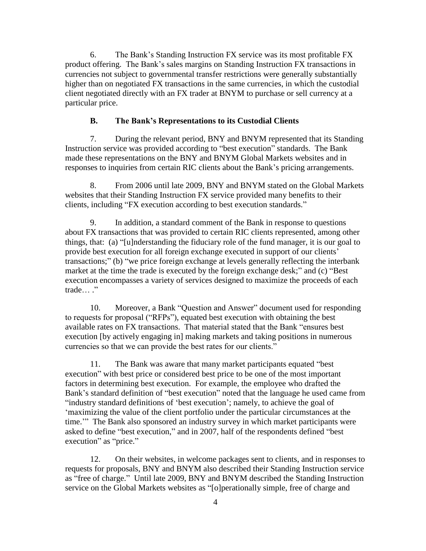6. The Bank's Standing Instruction FX service was its most profitable FX product offering. The Bank's sales margins on Standing Instruction FX transactions in currencies not subject to governmental transfer restrictions were generally substantially higher than on negotiated FX transactions in the same currencies, in which the custodial client negotiated directly with an FX trader at BNYM to purchase or sell currency at a particular price.

## **B. The Bank's Representations to its Custodial Clients**

7. During the relevant period, BNY and BNYM represented that its Standing Instruction service was provided according to "best execution" standards. The Bank made these representations on the BNY and BNYM Global Markets websites and in responses to inquiries from certain RIC clients about the Bank's pricing arrangements.

8. From 2006 until late 2009, BNY and BNYM stated on the Global Markets websites that their Standing Instruction FX service provided many benefits to their clients, including "FX execution according to best execution standards."

9. In addition, a standard comment of the Bank in response to questions about FX transactions that was provided to certain RIC clients represented, among other things, that: (a) "[u]nderstanding the fiduciary role of the fund manager, it is our goal to provide best execution for all foreign exchange executed in support of our clients' transactions;" (b) "we price foreign exchange at levels generally reflecting the interbank market at the time the trade is executed by the foreign exchange desk;" and (c) "Best execution encompasses a variety of services designed to maximize the proceeds of each trade… ."

10. Moreover, a Bank "Question and Answer" document used for responding to requests for proposal ("RFPs"), equated best execution with obtaining the best available rates on FX transactions. That material stated that the Bank "ensures best execution [by actively engaging in] making markets and taking positions in numerous currencies so that we can provide the best rates for our clients."

11. The Bank was aware that many market participants equated "best execution" with best price or considered best price to be one of the most important factors in determining best execution. For example, the employee who drafted the Bank's standard definition of "best execution" noted that the language he used came from "industry standard definitions of 'best execution'; namely, to achieve the goal of 'maximizing the value of the client portfolio under the particular circumstances at the time.'" The Bank also sponsored an industry survey in which market participants were asked to define "best execution," and in 2007, half of the respondents defined "best execution" as "price."

12. On their websites, in welcome packages sent to clients, and in responses to requests for proposals, BNY and BNYM also described their Standing Instruction service as "free of charge." Until late 2009, BNY and BNYM described the Standing Instruction service on the Global Markets websites as "[o]perationally simple, free of charge and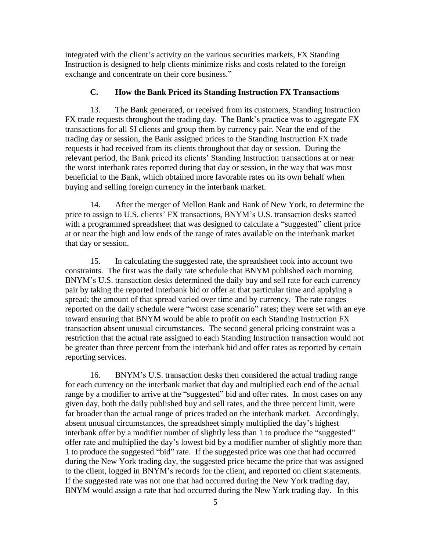integrated with the client's activity on the various securities markets, FX Standing Instruction is designed to help clients minimize risks and costs related to the foreign exchange and concentrate on their core business."

# **C. How the Bank Priced its Standing Instruction FX Transactions**

13. The Bank generated, or received from its customers, Standing Instruction FX trade requests throughout the trading day. The Bank's practice was to aggregate FX transactions for all SI clients and group them by currency pair. Near the end of the trading day or session, the Bank assigned prices to the Standing Instruction FX trade requests it had received from its clients throughout that day or session. During the relevant period, the Bank priced its clients' Standing Instruction transactions at or near the worst interbank rates reported during that day or session, in the way that was most beneficial to the Bank, which obtained more favorable rates on its own behalf when buying and selling foreign currency in the interbank market.

14. After the merger of Mellon Bank and Bank of New York, to determine the price to assign to U.S. clients' FX transactions, BNYM's U.S. transaction desks started with a programmed spreadsheet that was designed to calculate a "suggested" client price at or near the high and low ends of the range of rates available on the interbank market that day or session.

15. In calculating the suggested rate, the spreadsheet took into account two constraints. The first was the daily rate schedule that BNYM published each morning. BNYM's U.S. transaction desks determined the daily buy and sell rate for each currency pair by taking the reported interbank bid or offer at that particular time and applying a spread; the amount of that spread varied over time and by currency. The rate ranges reported on the daily schedule were "worst case scenario" rates; they were set with an eye toward ensuring that BNYM would be able to profit on each Standing Instruction FX transaction absent unusual circumstances. The second general pricing constraint was a restriction that the actual rate assigned to each Standing Instruction transaction would not be greater than three percent from the interbank bid and offer rates as reported by certain reporting services.

16. BNYM's U.S. transaction desks then considered the actual trading range for each currency on the interbank market that day and multiplied each end of the actual range by a modifier to arrive at the "suggested" bid and offer rates. In most cases on any given day, both the daily published buy and sell rates, and the three percent limit, were far broader than the actual range of prices traded on the interbank market. Accordingly, absent unusual circumstances, the spreadsheet simply multiplied the day's highest interbank offer by a modifier number of slightly less than 1 to produce the "suggested" offer rate and multiplied the day's lowest bid by a modifier number of slightly more than 1 to produce the suggested "bid" rate. If the suggested price was one that had occurred during the New York trading day, the suggested price became the price that was assigned to the client, logged in BNYM's records for the client, and reported on client statements. If the suggested rate was not one that had occurred during the New York trading day, BNYM would assign a rate that had occurred during the New York trading day. In this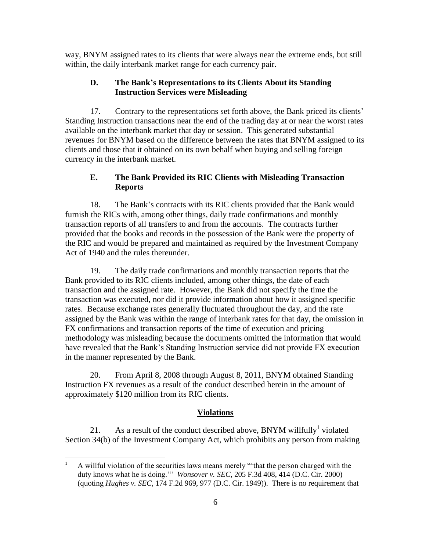way, BNYM assigned rates to its clients that were always near the extreme ends, but still within, the daily interbank market range for each currency pair.

## **D. The Bank's Representations to its Clients About its Standing Instruction Services were Misleading**

17. Contrary to the representations set forth above, the Bank priced its clients' Standing Instruction transactions near the end of the trading day at or near the worst rates available on the interbank market that day or session. This generated substantial revenues for BNYM based on the difference between the rates that BNYM assigned to its clients and those that it obtained on its own behalf when buying and selling foreign currency in the interbank market.

## **E. The Bank Provided its RIC Clients with Misleading Transaction Reports**

18. The Bank's contracts with its RIC clients provided that the Bank would furnish the RICs with, among other things, daily trade confirmations and monthly transaction reports of all transfers to and from the accounts. The contracts further provided that the books and records in the possession of the Bank were the property of the RIC and would be prepared and maintained as required by the Investment Company Act of 1940 and the rules thereunder.

19. The daily trade confirmations and monthly transaction reports that the Bank provided to its RIC clients included, among other things, the date of each transaction and the assigned rate. However, the Bank did not specify the time the transaction was executed, nor did it provide information about how it assigned specific rates. Because exchange rates generally fluctuated throughout the day, and the rate assigned by the Bank was within the range of interbank rates for that day, the omission in FX confirmations and transaction reports of the time of execution and pricing methodology was misleading because the documents omitted the information that would have revealed that the Bank's Standing Instruction service did not provide FX execution in the manner represented by the Bank.

20. From April 8, 2008 through August 8, 2011, BNYM obtained Standing Instruction FX revenues as a result of the conduct described herein in the amount of approximately \$120 million from its RIC clients.

## **Violations**

21. As a result of the conduct described above, BNYM willfully<sup>1</sup> violated Section 34(b) of the Investment Company Act, which prohibits any person from making

 $\mathbf{1}$ <sup>1</sup> A willful violation of the securities laws means merely "'that the person charged with the duty knows what he is doing.'" *Wonsover v. SEC*, 205 F.3d 408, 414 (D.C. Cir. 2000) (quoting *Hughes v. SEC*, 174 F.2d 969, 977 (D.C. Cir. 1949)). There is no requirement that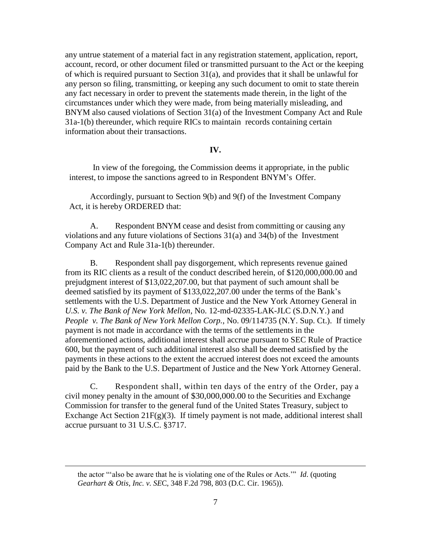any untrue statement of a material fact in any registration statement, application, report, account, record, or other document filed or transmitted pursuant to the Act or the keeping of which is required pursuant to Section 31(a), and provides that it shall be unlawful for any person so filing, transmitting, or keeping any such document to omit to state therein any fact necessary in order to prevent the statements made therein, in the light of the circumstances under which they were made, from being materially misleading, and BNYM also caused violations of Section 31(a) of the Investment Company Act and Rule 31a-1(b) thereunder, which require RICs to maintain records containing certain information about their transactions.

## **IV.**

In view of the foregoing, the Commission deems it appropriate, in the public interest, to impose the sanctions agreed to in Respondent BNYM's Offer.

Accordingly, pursuant to Section 9(b) and 9(f) of the Investment Company Act, it is hereby ORDERED that:

A. Respondent BNYM cease and desist from committing or causing any violations and any future violations of Sections 31(a) and 34(b) of the Investment Company Act and Rule 31a-1(b) thereunder.

B. Respondent shall pay disgorgement, which represents revenue gained from its RIC clients as a result of the conduct described herein, of \$120,000,000.00 and prejudgment interest of \$13,022,207.00, but that payment of such amount shall be deemed satisfied by its payment of \$133,022,207.00 under the terms of the Bank's settlements with the U.S. Department of Justice and the New York Attorney General in *U.S. v. The Bank of New York Mellon*, No. 12-md-02335-LAK-JLC (S.D.N.Y.) and *People v. The Bank of New York Mellon Corp.*, No. 09/114735 (N.Y. Sup. Ct.). If timely payment is not made in accordance with the terms of the settlements in the aforementioned actions, additional interest shall accrue pursuant to SEC Rule of Practice 600, but the payment of such additional interest also shall be deemed satisfied by the payments in these actions to the extent the accrued interest does not exceed the amounts paid by the Bank to the U.S. Department of Justice and the New York Attorney General.

C. Respondent shall, within ten days of the entry of the Order, pay a civil money penalty in the amount of \$30,000,000.00 to the Securities and Exchange Commission for transfer to the general fund of the United States Treasury, subject to Exchange Act Section  $21F(g)(3)$ . If timely payment is not made, additional interest shall accrue pursuant to 31 U.S.C. §3717.

 $\overline{a}$ 

the actor "'also be aware that he is violating one of the Rules or Acts.'" *Id*. (quoting *Gearhart & Otis, Inc. v. SE*C, 348 F.2d 798, 803 (D.C. Cir. 1965)).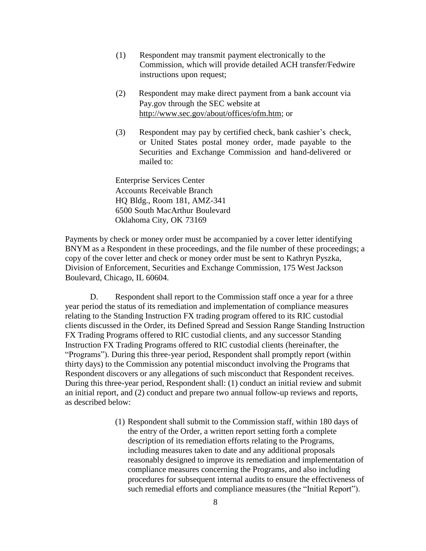- (1) Respondent may transmit payment electronically to the Commission, which will provide detailed ACH transfer/Fedwire instructions upon request;
- (2) Respondent may make direct payment from a bank account via Pay.gov through the SEC website at [http://www.sec.gov/about/offices/ofm.htm;](http://www.sec.gov/about/offices/ofm.htm) or
- (3) Respondent may pay by certified check, bank cashier's check, or United States postal money order, made payable to the Securities and Exchange Commission and hand-delivered or mailed to:

Enterprise Services Center Accounts Receivable Branch HQ Bldg., Room 181, AMZ-341 6500 South MacArthur Boulevard Oklahoma City, OK 73169

Payments by check or money order must be accompanied by a cover letter identifying BNYM as a Respondent in these proceedings, and the file number of these proceedings; a copy of the cover letter and check or money order must be sent to Kathryn Pyszka, Division of Enforcement, Securities and Exchange Commission, 175 West Jackson Boulevard, Chicago, IL 60604.

D. Respondent shall report to the Commission staff once a year for a three year period the status of its remediation and implementation of compliance measures relating to the Standing Instruction FX trading program offered to its RIC custodial clients discussed in the Order, its Defined Spread and Session Range Standing Instruction FX Trading Programs offered to RIC custodial clients, and any successor Standing Instruction FX Trading Programs offered to RIC custodial clients (hereinafter, the "Programs"). During this three-year period, Respondent shall promptly report (within thirty days) to the Commission any potential misconduct involving the Programs that Respondent discovers or any allegations of such misconduct that Respondent receives. During this three-year period, Respondent shall: (1) conduct an initial review and submit an initial report, and (2) conduct and prepare two annual follow-up reviews and reports, as described below:

> (1) Respondent shall submit to the Commission staff, within 180 days of the entry of the Order, a written report setting forth a complete description of its remediation efforts relating to the Programs, including measures taken to date and any additional proposals reasonably designed to improve its remediation and implementation of compliance measures concerning the Programs, and also including procedures for subsequent internal audits to ensure the effectiveness of such remedial efforts and compliance measures (the "Initial Report").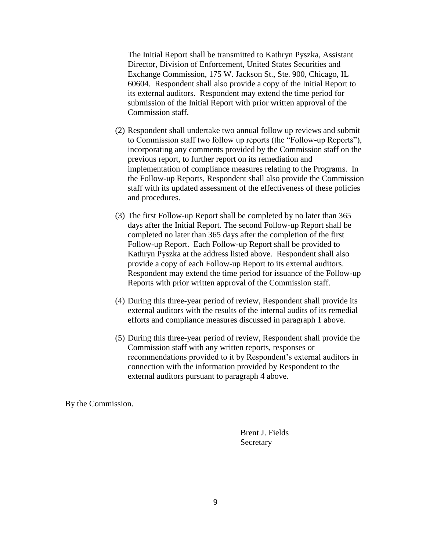The Initial Report shall be transmitted to Kathryn Pyszka, Assistant Director, Division of Enforcement, United States Securities and Exchange Commission, 175 W. Jackson St., Ste. 900, Chicago, IL 60604. Respondent shall also provide a copy of the Initial Report to its external auditors. Respondent may extend the time period for submission of the Initial Report with prior written approval of the Commission staff.

- (2) Respondent shall undertake two annual follow up reviews and submit to Commission staff two follow up reports (the "Follow-up Reports"), incorporating any comments provided by the Commission staff on the previous report, to further report on its remediation and implementation of compliance measures relating to the Programs. In the Follow-up Reports, Respondent shall also provide the Commission staff with its updated assessment of the effectiveness of these policies and procedures.
- (3) The first Follow-up Report shall be completed by no later than 365 days after the Initial Report. The second Follow-up Report shall be completed no later than 365 days after the completion of the first Follow-up Report. Each Follow-up Report shall be provided to Kathryn Pyszka at the address listed above. Respondent shall also provide a copy of each Follow-up Report to its external auditors. Respondent may extend the time period for issuance of the Follow-up Reports with prior written approval of the Commission staff.
- (4) During this three-year period of review, Respondent shall provide its external auditors with the results of the internal audits of its remedial efforts and compliance measures discussed in paragraph 1 above.
- (5) During this three-year period of review, Respondent shall provide the Commission staff with any written reports, responses or recommendations provided to it by Respondent's external auditors in connection with the information provided by Respondent to the external auditors pursuant to paragraph 4 above.

By the Commission.

Brent J. Fields Secretary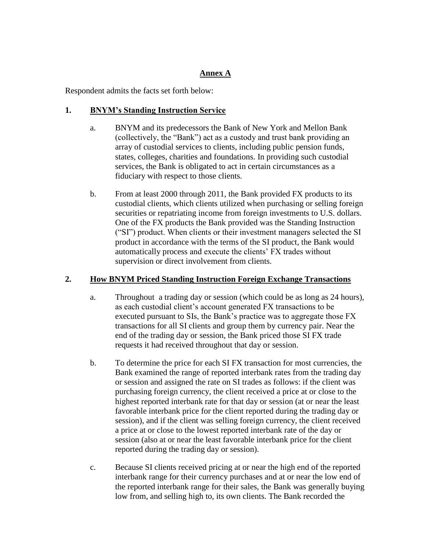# **Annex A**

Respondent admits the facts set forth below:

# **1. BNYM's Standing Instruction Service**

- a. BNYM and its predecessors the Bank of New York and Mellon Bank (collectively, the "Bank") act as a custody and trust bank providing an array of custodial services to clients, including public pension funds, states, colleges, charities and foundations. In providing such custodial services, the Bank is obligated to act in certain circumstances as a fiduciary with respect to those clients.
- b. From at least 2000 through 2011, the Bank provided FX products to its custodial clients, which clients utilized when purchasing or selling foreign securities or repatriating income from foreign investments to U.S. dollars. One of the FX products the Bank provided was the Standing Instruction ("SI") product. When clients or their investment managers selected the SI product in accordance with the terms of the SI product, the Bank would automatically process and execute the clients' FX trades without supervision or direct involvement from clients.

# **2. How BNYM Priced Standing Instruction Foreign Exchange Transactions**

- a. Throughout a trading day or session (which could be as long as 24 hours), as each custodial client's account generated FX transactions to be executed pursuant to SIs, the Bank's practice was to aggregate those FX transactions for all SI clients and group them by currency pair. Near the end of the trading day or session, the Bank priced those SI FX trade requests it had received throughout that day or session.
- b. To determine the price for each SI FX transaction for most currencies, the Bank examined the range of reported interbank rates from the trading day or session and assigned the rate on SI trades as follows: if the client was purchasing foreign currency, the client received a price at or close to the highest reported interbank rate for that day or session (at or near the least favorable interbank price for the client reported during the trading day or session), and if the client was selling foreign currency, the client received a price at or close to the lowest reported interbank rate of the day or session (also at or near the least favorable interbank price for the client reported during the trading day or session).
- c. Because SI clients received pricing at or near the high end of the reported interbank range for their currency purchases and at or near the low end of the reported interbank range for their sales, the Bank was generally buying low from, and selling high to, its own clients. The Bank recorded the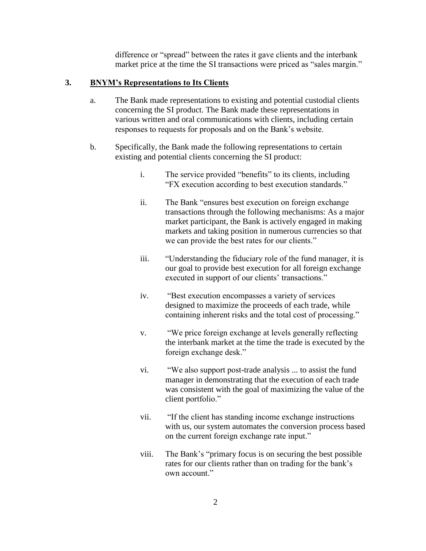difference or "spread" between the rates it gave clients and the interbank market price at the time the SI transactions were priced as "sales margin."

## **3. BNYM's Representations to Its Clients**

- a. The Bank made representations to existing and potential custodial clients concerning the SI product. The Bank made these representations in various written and oral communications with clients, including certain responses to requests for proposals and on the Bank's website.
- b. Specifically, the Bank made the following representations to certain existing and potential clients concerning the SI product:
	- i. The service provided "benefits" to its clients, including "FX execution according to best execution standards."
	- ii. The Bank "ensures best execution on foreign exchange transactions through the following mechanisms: As a major market participant, the Bank is actively engaged in making markets and taking position in numerous currencies so that we can provide the best rates for our clients."
	- iii. "Understanding the fiduciary role of the fund manager, it is our goal to provide best execution for all foreign exchange executed in support of our clients' transactions."
	- iv. "Best execution encompasses a variety of services designed to maximize the proceeds of each trade, while containing inherent risks and the total cost of processing."
	- v. "We price foreign exchange at levels generally reflecting the interbank market at the time the trade is executed by the foreign exchange desk."
	- vi. "We also support post-trade analysis ... to assist the fund manager in demonstrating that the execution of each trade was consistent with the goal of maximizing the value of the client portfolio."
	- vii. "If the client has standing income exchange instructions with us, our system automates the conversion process based on the current foreign exchange rate input."
	- viii. The Bank's "primary focus is on securing the best possible rates for our clients rather than on trading for the bank's own account."